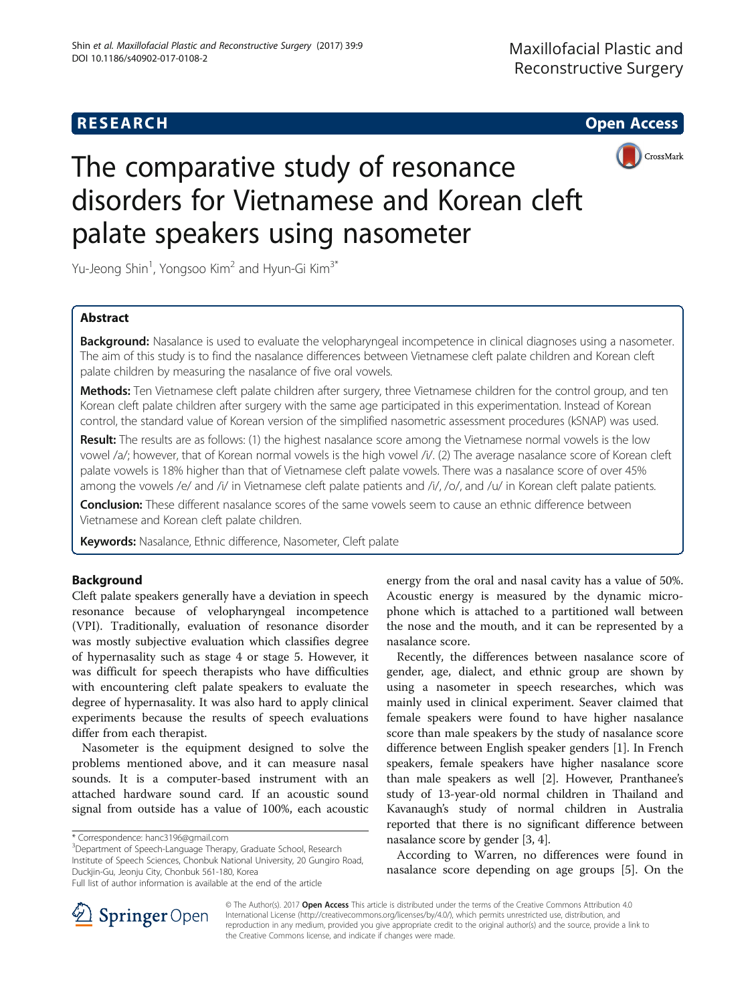

# The comparative study of resonance disorders for Vietnamese and Korean cleft palate speakers using nasometer

Yu-Jeong Shin<sup>1</sup>, Yongsoo Kim<sup>2</sup> and Hyun-Gi Kim<sup>3\*</sup>

# Abstract

Background: Nasalance is used to evaluate the velopharyngeal incompetence in clinical diagnoses using a nasometer. The aim of this study is to find the nasalance differences between Vietnamese cleft palate children and Korean cleft palate children by measuring the nasalance of five oral vowels.

Methods: Ten Vietnamese cleft palate children after surgery, three Vietnamese children for the control group, and ten Korean cleft palate children after surgery with the same age participated in this experimentation. Instead of Korean control, the standard value of Korean version of the simplified nasometric assessment procedures (kSNAP) was used.

Result: The results are as follows: (1) the highest nasalance score among the Vietnamese normal vowels is the low vowel /a/; however, that of Korean normal vowels is the high vowel /i/. (2) The average nasalance score of Korean cleft palate vowels is 18% higher than that of Vietnamese cleft palate vowels. There was a nasalance score of over 45% among the vowels /e/ and /i/ in Vietnamese cleft palate patients and /i/, /o/, and /u/ in Korean cleft palate patients.

Conclusion: These different nasalance scores of the same vowels seem to cause an ethnic difference between Vietnamese and Korean cleft palate children.

Keywords: Nasalance, Ethnic difference, Nasometer, Cleft palate

## Background

Cleft palate speakers generally have a deviation in speech resonance because of velopharyngeal incompetence (VPI). Traditionally, evaluation of resonance disorder was mostly subjective evaluation which classifies degree of hypernasality such as stage 4 or stage 5. However, it was difficult for speech therapists who have difficulties with encountering cleft palate speakers to evaluate the degree of hypernasality. It was also hard to apply clinical experiments because the results of speech evaluations differ from each therapist.

Nasometer is the equipment designed to solve the problems mentioned above, and it can measure nasal sounds. It is a computer-based instrument with an attached hardware sound card. If an acoustic sound signal from outside has a value of 100%, each acoustic

<sup>3</sup>Department of Speech-Language Therapy, Graduate School, Research Institute of Speech Sciences, Chonbuk National University, 20 Gungiro Road, Duckjin-Gu, Jeonju City, Chonbuk 561-180, Korea

energy from the oral and nasal cavity has a value of 50%. Acoustic energy is measured by the dynamic microphone which is attached to a partitioned wall between the nose and the mouth, and it can be represented by a nasalance score.

Recently, the differences between nasalance score of gender, age, dialect, and ethnic group are shown by using a nasometer in speech researches, which was mainly used in clinical experiment. Seaver claimed that female speakers were found to have higher nasalance score than male speakers by the study of nasalance score difference between English speaker genders [\[1\]](#page-4-0). In French speakers, female speakers have higher nasalance score than male speakers as well [\[2](#page-4-0)]. However, Pranthanee's study of 13-year-old normal children in Thailand and Kavanaugh's study of normal children in Australia reported that there is no significant difference between nasalance score by gender [\[3](#page-4-0), [4\]](#page-4-0).

According to Warren, no differences were found in nasalance score depending on age groups [\[5](#page-4-0)]. On the



© The Author(s). 2017 Open Access This article is distributed under the terms of the Creative Commons Attribution 4.0 International License ([http://creativecommons.org/licenses/by/4.0/\)](http://creativecommons.org/licenses/by/4.0/), which permits unrestricted use, distribution, and reproduction in any medium, provided you give appropriate credit to the original author(s) and the source, provide a link to the Creative Commons license, and indicate if changes were made.

<sup>\*</sup> Correspondence: [hanc3196@gmail.com](mailto:hanc3196@gmail.com) <sup>3</sup>

Full list of author information is available at the end of the article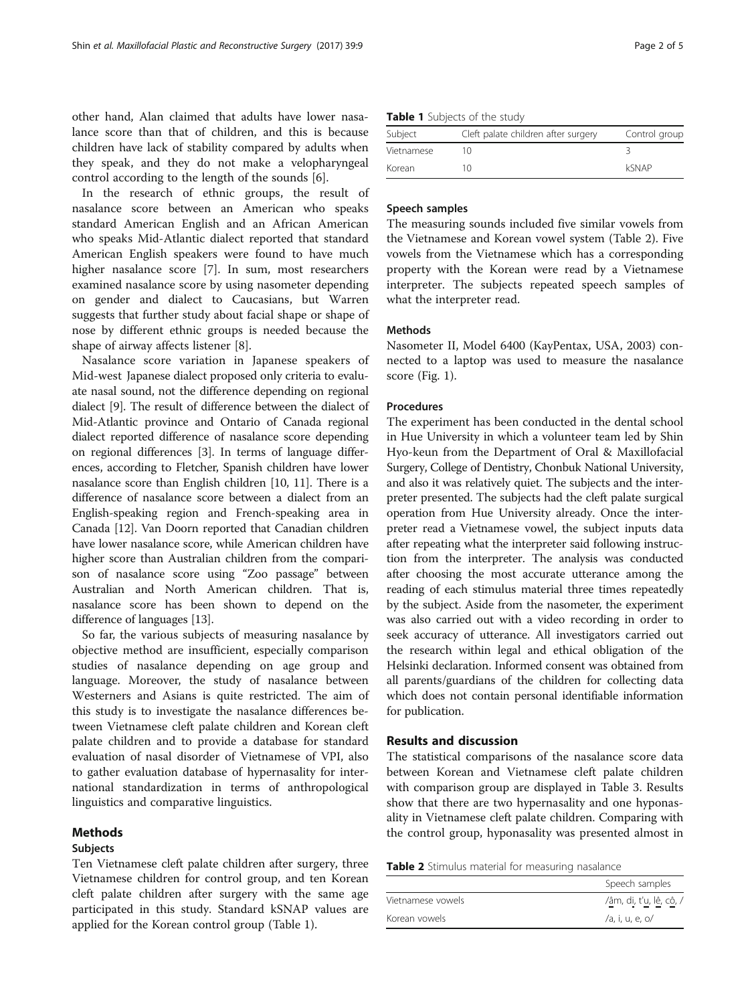other hand, Alan claimed that adults have lower nasalance score than that of children, and this is because children have lack of stability compared by adults when they speak, and they do not make a velopharyngeal control according to the length of the sounds [[6\]](#page-4-0).

In the research of ethnic groups, the result of nasalance score between an American who speaks standard American English and an African American who speaks Mid-Atlantic dialect reported that standard American English speakers were found to have much higher nasalance score [\[7](#page-4-0)]. In sum, most researchers examined nasalance score by using nasometer depending on gender and dialect to Caucasians, but Warren suggests that further study about facial shape or shape of nose by different ethnic groups is needed because the shape of airway affects listener [[8\]](#page-4-0).

Nasalance score variation in Japanese speakers of Mid-west Japanese dialect proposed only criteria to evaluate nasal sound, not the difference depending on regional dialect [\[9](#page-4-0)]. The result of difference between the dialect of Mid-Atlantic province and Ontario of Canada regional dialect reported difference of nasalance score depending on regional differences [\[3\]](#page-4-0). In terms of language differences, according to Fletcher, Spanish children have lower nasalance score than English children [\[10, 11\]](#page-4-0). There is a difference of nasalance score between a dialect from an English-speaking region and French-speaking area in Canada [\[12\]](#page-4-0). Van Doorn reported that Canadian children have lower nasalance score, while American children have higher score than Australian children from the comparison of nasalance score using "Zoo passage" between Australian and North American children. That is, nasalance score has been shown to depend on the difference of languages [[13](#page-4-0)].

So far, the various subjects of measuring nasalance by objective method are insufficient, especially comparison studies of nasalance depending on age group and language. Moreover, the study of nasalance between Westerners and Asians is quite restricted. The aim of this study is to investigate the nasalance differences between Vietnamese cleft palate children and Korean cleft palate children and to provide a database for standard evaluation of nasal disorder of Vietnamese of VPI, also to gather evaluation database of hypernasality for international standardization in terms of anthropological linguistics and comparative linguistics.

## Methods

## Subjects

Ten Vietnamese cleft palate children after surgery, three Vietnamese children for control group, and ten Korean cleft palate children after surgery with the same age participated in this study. Standard kSNAP values are applied for the Korean control group (Table 1).

| Table 1 Subjects of the study |  |
|-------------------------------|--|
|-------------------------------|--|

| Subject    | Cleft palate children after surgery | Control group |
|------------|-------------------------------------|---------------|
| Vietnamese |                                     |               |
| Korean     | 10                                  | kSNAP         |

## Speech samples

The measuring sounds included five similar vowels from the Vietnamese and Korean vowel system (Table 2). Five vowels from the Vietnamese which has a corresponding property with the Korean were read by a Vietnamese interpreter. The subjects repeated speech samples of what the interpreter read.

## **Methods**

Nasometer II, Model 6400 (KayPentax, USA, 2003) connected to a laptop was used to measure the nasalance score (Fig. [1\)](#page-2-0).

## **Procedures**

The experiment has been conducted in the dental school in Hue University in which a volunteer team led by Shin Hyo-keun from the Department of Oral & Maxillofacial Surgery, College of Dentistry, Chonbuk National University, and also it was relatively quiet. The subjects and the interpreter presented. The subjects had the cleft palate surgical operation from Hue University already. Once the interpreter read a Vietnamese vowel, the subject inputs data after repeating what the interpreter said following instruction from the interpreter. The analysis was conducted after choosing the most accurate utterance among the reading of each stimulus material three times repeatedly by the subject. Aside from the nasometer, the experiment was also carried out with a video recording in order to seek accuracy of utterance. All investigators carried out the research within legal and ethical obligation of the Helsinki declaration. Informed consent was obtained from all parents/guardians of the children for collecting data which does not contain personal identifiable information for publication.

## Results and discussion

The statistical comparisons of the nasalance score data between Korean and Vietnamese cleft palate children with comparison group are displayed in Table [3.](#page-2-0) Results show that there are two hypernasality and one hyponasality in Vietnamese cleft palate children. Comparing with the control group, hyponasality was presented almost in

|  |  |  | Table 2 Stimulus material for measuring nasalance |  |
|--|--|--|---------------------------------------------------|--|
|--|--|--|---------------------------------------------------|--|

|                   | Speech samples          |
|-------------------|-------------------------|
| Vietnamese vowels | /âm, di, t'u, lê, cô, / |
| Korean vowels     | /a, i, u, e, o/         |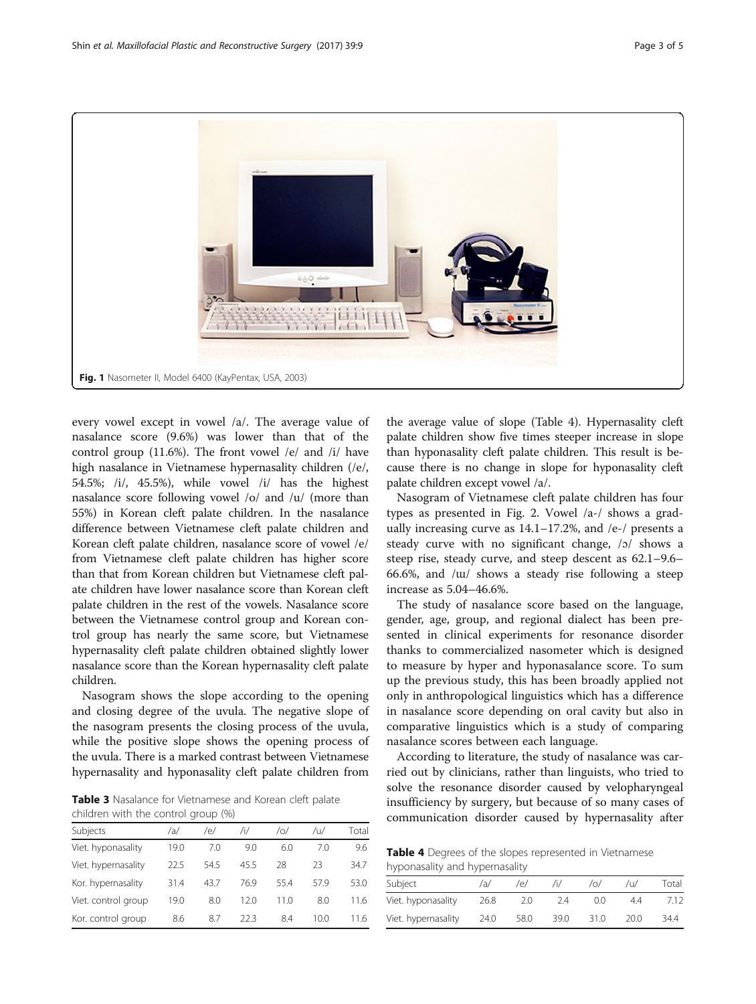<span id="page-2-0"></span>

every vowel except in vowel /a/. The average value of nasalance score (9.6%) was lower than that of the control group (11.6%). The front vowel /e/ and /i/ have high nasalance in Vietnamese hypernasality children (/e/, 54.5%; /i/, 45.5%), while vowel /i/ has the highest nasalance score following vowel /o/ and /u/ (more than 55%) in Korean cleft palate children. In the nasalance difference between Vietnamese cleft palate children and Korean cleft palate children, nasalance score of vowel /e/ from Vietnamese cleft palate children has higher score than that from Korean children but Vietnamese cleft palate children have lower nasalance score than Korean cleft palate children in the rest of the vowels. Nasalance score between the Vietnamese control group and Korean control group has nearly the same score, but Vietnamese hypernasality cleft palate children obtained slightly lower nasalance score than the Korean hypernasality cleft palate children.

Nasogram shows the slope according to the opening and closing degree of the uvula. The negative slope of the nasogram presents the closing process of the uvula, while the positive slope shows the opening process of the uvula. There is a marked contrast between Vietnamese hypernasality and hyponasality cleft palate children from

Table 3 Nasalance for Vietnamese and Korean cleft palate children with the control group (%)

| Subjects            | /a/  | /e/  | /i/  | /0/  | $/ \cup$ | Total |
|---------------------|------|------|------|------|----------|-------|
| Viet. hyponasality  | 19.0 | 7.0  | 9.0  | 6.0  | 7.0      | 9.6   |
| Viet. hypernasality | 22.5 | 545  | 45.5 | 28   | 23       | 34.7  |
| Kor. hypernasality  | 31.4 | 43.7 | 76.9 | 55.4 | 579      | 53.0  |
| Viet. control group | 19.0 | 8.0  | 12.0 | 11 0 | 8.0      | 11.6  |
| Kor. control group  | 8.6  | 87   | 22.3 | 8.4  | 10.0     | 11.6  |

the average value of slope (Table 4). Hypernasality cleft palate children show five times steeper increase in slope than hyponasality cleft palate children. This result is because there is no change in slope for hyponasality cleft palate children except vowel /a/.

Nasogram of Vietnamese cleft palate children has four types as presented in Fig. [2.](#page-3-0) Vowel /a-/ shows a gradually increasing curve as  $14.1-17.2\%$ , and /e-/ presents a steady curve with no significant change, /ɔ/ shows a steep rise, steady curve, and steep descent as 62.1–9.6– 66.6%, and /ɯ/ shows a steady rise following a steep increase as 5.04–46.6%.

The study of nasalance score based on the language, gender, age, group, and regional dialect has been presented in clinical experiments for resonance disorder thanks to commercialized nasometer which is designed to measure by hyper and hyponasalance score. To sum up the previous study, this has been broadly applied not only in anthropological linguistics which has a difference in nasalance score depending on oral cavity but also in comparative linguistics which is a study of comparing nasalance scores between each language.

According to literature, the study of nasalance was carried out by clinicians, rather than linguists, who tried to solve the resonance disorder caused by velopharyngeal insufficiency by surgery, but because of so many cases of communication disorder caused by hypernasality after

Table 4 Degrees of the slopes represented in Vietnamese hyponasality and hypernasality

| Subject             | /a/  | ΄e/  |      | /0/  | /u/  | Total |
|---------------------|------|------|------|------|------|-------|
| Viet. hyponasality  | 26.8 | 2.0  | 24   | 0.0  | 4.4  | 7.12. |
| Viet. hypernasality | 24.0 | 58.0 | 39.0 | 31.0 | 20.0 | 34.4  |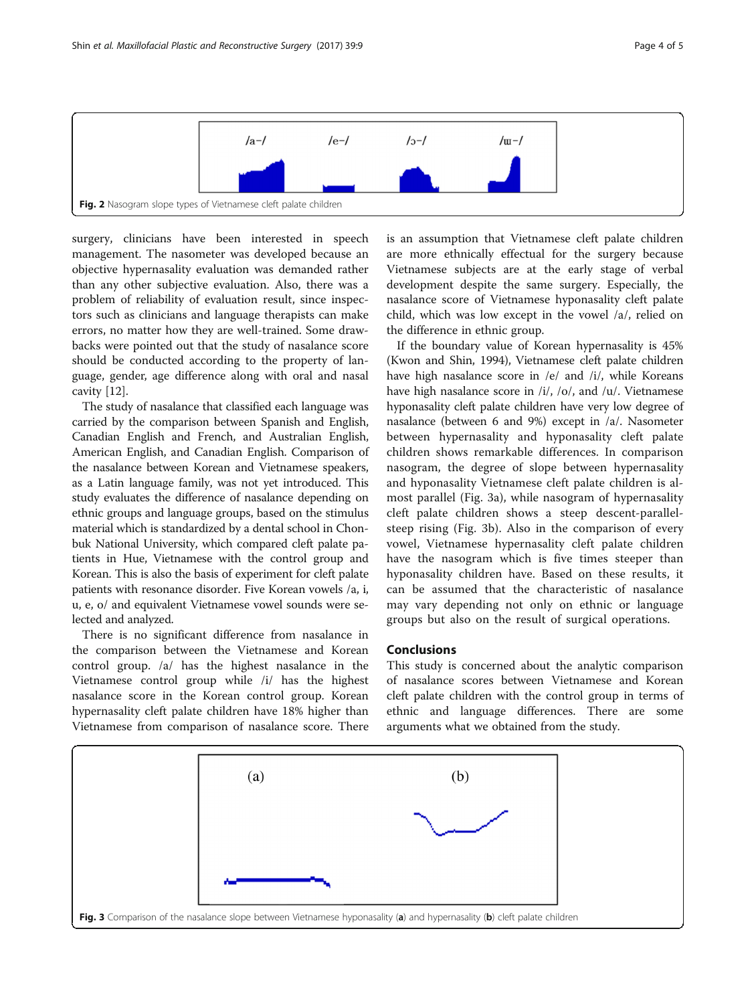<span id="page-3-0"></span>

surgery, clinicians have been interested in speech management. The nasometer was developed because an objective hypernasality evaluation was demanded rather than any other subjective evaluation. Also, there was a problem of reliability of evaluation result, since inspectors such as clinicians and language therapists can make errors, no matter how they are well-trained. Some drawbacks were pointed out that the study of nasalance score should be conducted according to the property of language, gender, age difference along with oral and nasal cavity [\[12\]](#page-4-0).

The study of nasalance that classified each language was carried by the comparison between Spanish and English, Canadian English and French, and Australian English, American English, and Canadian English. Comparison of the nasalance between Korean and Vietnamese speakers, as a Latin language family, was not yet introduced. This study evaluates the difference of nasalance depending on ethnic groups and language groups, based on the stimulus material which is standardized by a dental school in Chonbuk National University, which compared cleft palate patients in Hue, Vietnamese with the control group and Korean. This is also the basis of experiment for cleft palate patients with resonance disorder. Five Korean vowels /a, i, u, e, o/ and equivalent Vietnamese vowel sounds were selected and analyzed.

There is no significant difference from nasalance in the comparison between the Vietnamese and Korean control group. /a/ has the highest nasalance in the Vietnamese control group while /i/ has the highest nasalance score in the Korean control group. Korean hypernasality cleft palate children have 18% higher than Vietnamese from comparison of nasalance score. There is an assumption that Vietnamese cleft palate children are more ethnically effectual for the surgery because Vietnamese subjects are at the early stage of verbal development despite the same surgery. Especially, the nasalance score of Vietnamese hyponasality cleft palate child, which was low except in the vowel /a/, relied on the difference in ethnic group.

If the boundary value of Korean hypernasality is 45% (Kwon and Shin, 1994), Vietnamese cleft palate children have high nasalance score in /e/ and /i/, while Koreans have high nasalance score in /i/, /o/, and /u/. Vietnamese hyponasality cleft palate children have very low degree of nasalance (between 6 and 9%) except in /a/. Nasometer between hypernasality and hyponasality cleft palate children shows remarkable differences. In comparison nasogram, the degree of slope between hypernasality and hyponasality Vietnamese cleft palate children is almost parallel (Fig. 3a), while nasogram of hypernasality cleft palate children shows a steep descent-parallelsteep rising (Fig. 3b). Also in the comparison of every vowel, Vietnamese hypernasality cleft palate children have the nasogram which is five times steeper than hyponasality children have. Based on these results, it can be assumed that the characteristic of nasalance may vary depending not only on ethnic or language groups but also on the result of surgical operations.

## Conclusions

This study is concerned about the analytic comparison of nasalance scores between Vietnamese and Korean cleft palate children with the control group in terms of ethnic and language differences. There are some arguments what we obtained from the study.